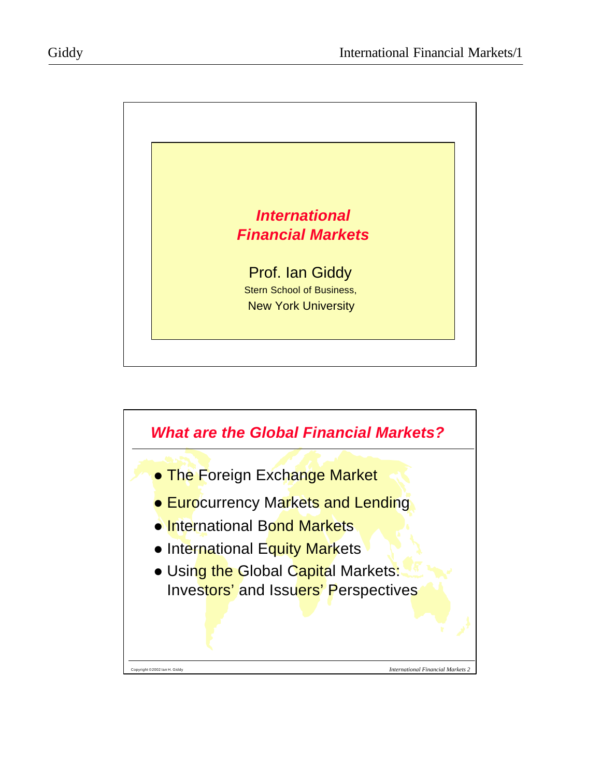

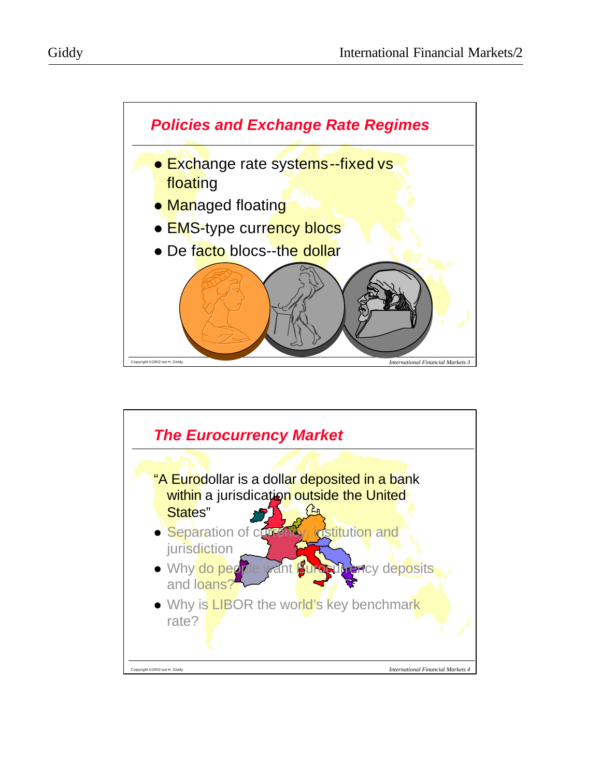



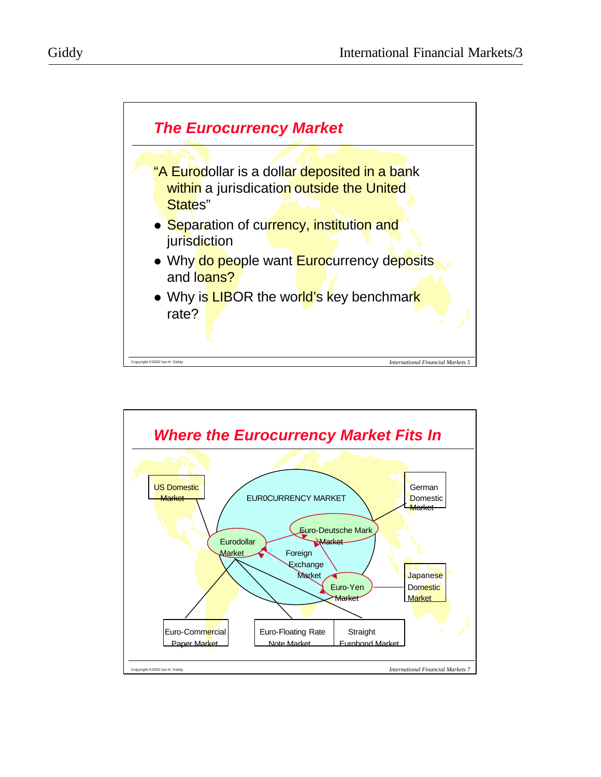

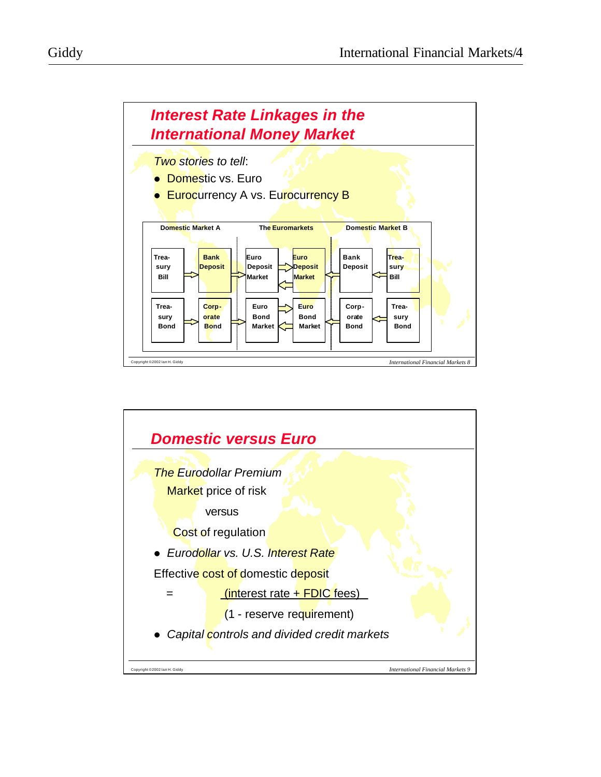



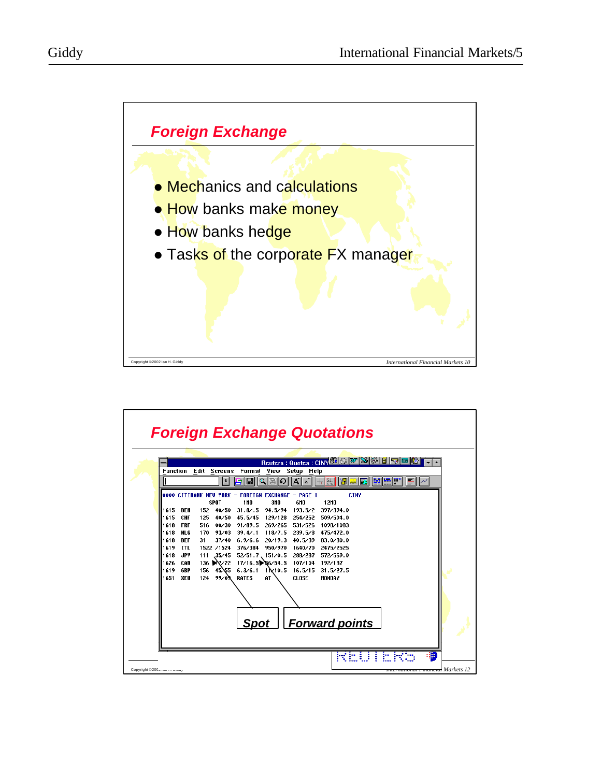

| Reuters : Quotes : CINY <b>S A M S B F F</b><br><b>Function</b><br>Edit Screens Format View Setup Help<br>$ \mathbf{A}^{\mathsf{\prime}} $ a $^{\mathsf{\prime}} $<br>$\left \frac{y}{x} \right $<br>Ы<br>١H<br>王<br>$\Omega$<br>$\Omega$<br>IET<br>嘴蝠爬<br>E<br>马<br>$\overline{x}$<br>0000 CITIBANK NEV YORK - FOREIGN EXCHANGE - PAGE 1<br>CINY<br>310<br>12MO<br><b>SPOT</b><br>1 MO<br>6MO<br>1615.<br><b>NFM</b><br>152<br>40/50<br>31.8 / .5<br>94.5/94<br>193.5/2<br>397/394.0<br>1615<br><b>CHF</b><br>125<br>45.5/45<br>129/128<br>40/50<br>254/252<br>509/504.0<br><b>FRF</b><br>00/30 91/89.5<br>269/265 531/526<br>1618<br>516.<br>1098/1083<br><b>NLG</b><br>170 93/03 39.4/.1 118/7.5 239.5/8<br>1618<br>475/472.0<br><b>RFF</b><br>20/19.3<br>40.5/39<br>1618<br>31.<br>$37/40$ 6.9/6.6<br>R3.0/80.0<br>1619<br><b>ITL</b><br>1522 /1524<br>376/384<br>950/970<br>1640/70<br>2475/2525 |  |
|-------------------------------------------------------------------------------------------------------------------------------------------------------------------------------------------------------------------------------------------------------------------------------------------------------------------------------------------------------------------------------------------------------------------------------------------------------------------------------------------------------------------------------------------------------------------------------------------------------------------------------------------------------------------------------------------------------------------------------------------------------------------------------------------------------------------------------------------------------------------------------------------------------|--|
|                                                                                                                                                                                                                                                                                                                                                                                                                                                                                                                                                                                                                                                                                                                                                                                                                                                                                                       |  |
|                                                                                                                                                                                                                                                                                                                                                                                                                                                                                                                                                                                                                                                                                                                                                                                                                                                                                                       |  |
|                                                                                                                                                                                                                                                                                                                                                                                                                                                                                                                                                                                                                                                                                                                                                                                                                                                                                                       |  |
|                                                                                                                                                                                                                                                                                                                                                                                                                                                                                                                                                                                                                                                                                                                                                                                                                                                                                                       |  |
|                                                                                                                                                                                                                                                                                                                                                                                                                                                                                                                                                                                                                                                                                                                                                                                                                                                                                                       |  |
|                                                                                                                                                                                                                                                                                                                                                                                                                                                                                                                                                                                                                                                                                                                                                                                                                                                                                                       |  |
|                                                                                                                                                                                                                                                                                                                                                                                                                                                                                                                                                                                                                                                                                                                                                                                                                                                                                                       |  |
|                                                                                                                                                                                                                                                                                                                                                                                                                                                                                                                                                                                                                                                                                                                                                                                                                                                                                                       |  |
|                                                                                                                                                                                                                                                                                                                                                                                                                                                                                                                                                                                                                                                                                                                                                                                                                                                                                                       |  |
|                                                                                                                                                                                                                                                                                                                                                                                                                                                                                                                                                                                                                                                                                                                                                                                                                                                                                                       |  |
|                                                                                                                                                                                                                                                                                                                                                                                                                                                                                                                                                                                                                                                                                                                                                                                                                                                                                                       |  |
| <b>JPY</b><br>111 35/45<br>52/51.7 151/0.5<br>288/287<br>572/569.0<br>1618                                                                                                                                                                                                                                                                                                                                                                                                                                                                                                                                                                                                                                                                                                                                                                                                                            |  |
| 136 X 22 17/16.5 \ 6/54.5<br>1626<br><b>CAD</b><br>107/104<br>192/187                                                                                                                                                                                                                                                                                                                                                                                                                                                                                                                                                                                                                                                                                                                                                                                                                                 |  |
| 1619<br><b>GRP</b><br>1 1x 10.5<br>156<br>45 $\lambda$ 55 6.3/6.1<br>16.5/15<br>31.5/27.5                                                                                                                                                                                                                                                                                                                                                                                                                                                                                                                                                                                                                                                                                                                                                                                                             |  |
| 1651<br>$124$ $99/03$<br><b>CLOSE</b><br>MONDAY<br>XEU<br><b>RATES</b><br>AT.                                                                                                                                                                                                                                                                                                                                                                                                                                                                                                                                                                                                                                                                                                                                                                                                                         |  |
|                                                                                                                                                                                                                                                                                                                                                                                                                                                                                                                                                                                                                                                                                                                                                                                                                                                                                                       |  |
|                                                                                                                                                                                                                                                                                                                                                                                                                                                                                                                                                                                                                                                                                                                                                                                                                                                                                                       |  |
|                                                                                                                                                                                                                                                                                                                                                                                                                                                                                                                                                                                                                                                                                                                                                                                                                                                                                                       |  |
|                                                                                                                                                                                                                                                                                                                                                                                                                                                                                                                                                                                                                                                                                                                                                                                                                                                                                                       |  |
|                                                                                                                                                                                                                                                                                                                                                                                                                                                                                                                                                                                                                                                                                                                                                                                                                                                                                                       |  |
| Spot   Forward points                                                                                                                                                                                                                                                                                                                                                                                                                                                                                                                                                                                                                                                                                                                                                                                                                                                                                 |  |
|                                                                                                                                                                                                                                                                                                                                                                                                                                                                                                                                                                                                                                                                                                                                                                                                                                                                                                       |  |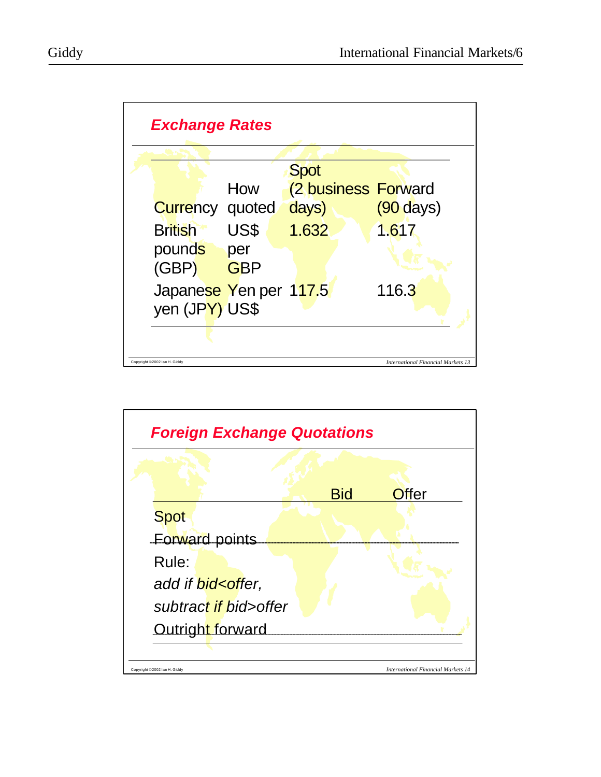

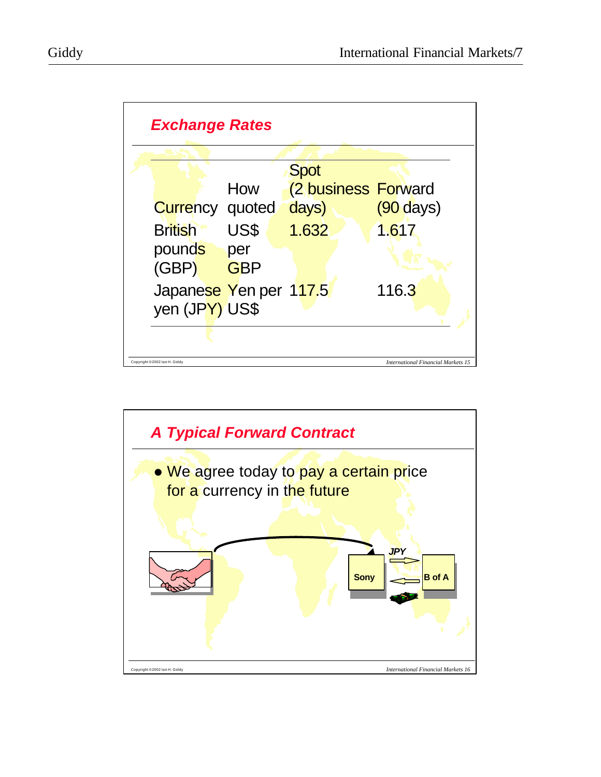

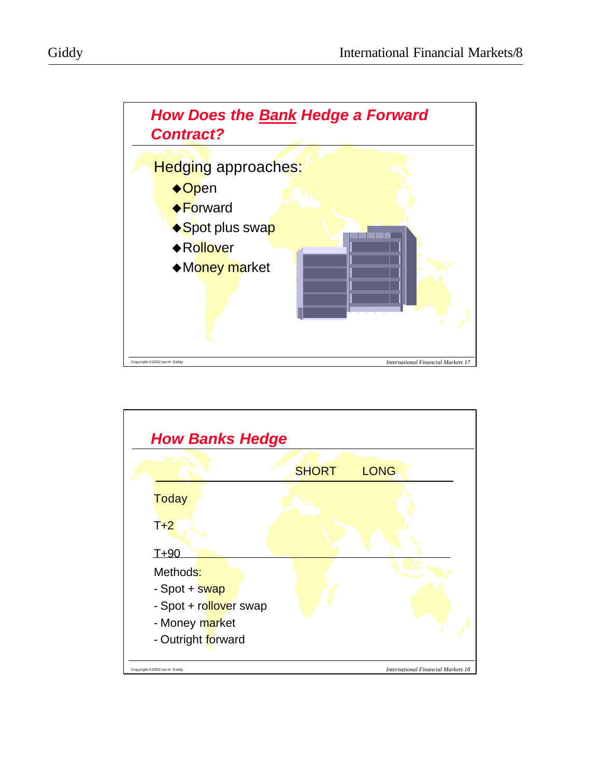



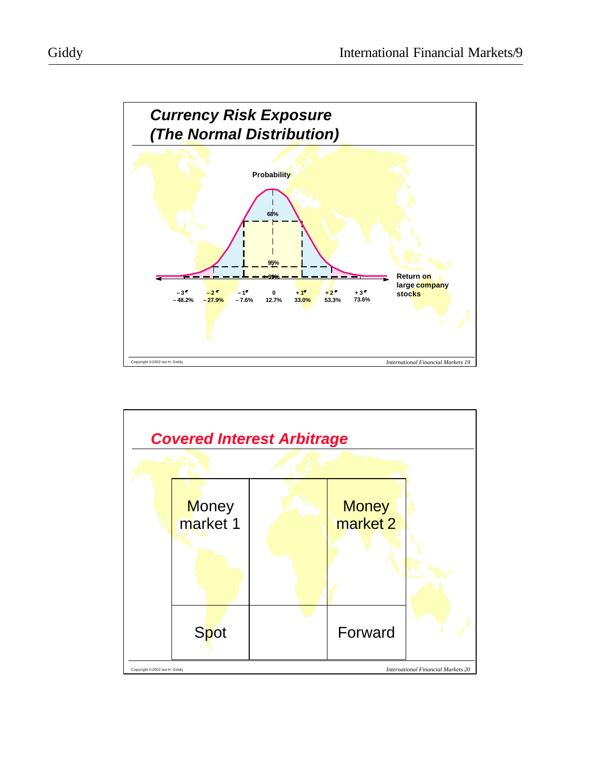

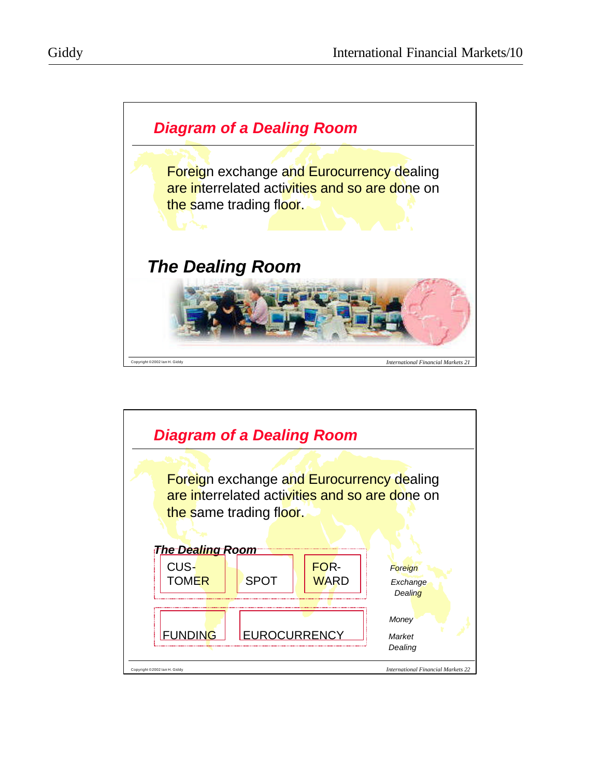

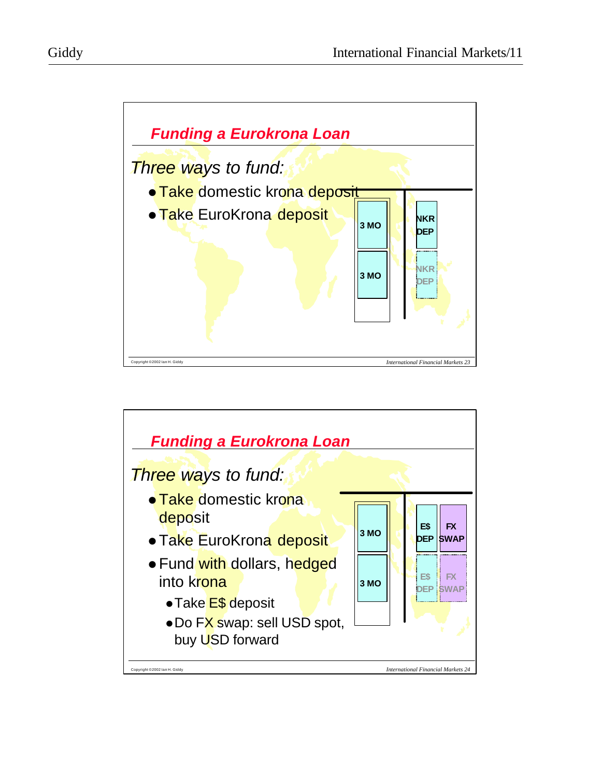

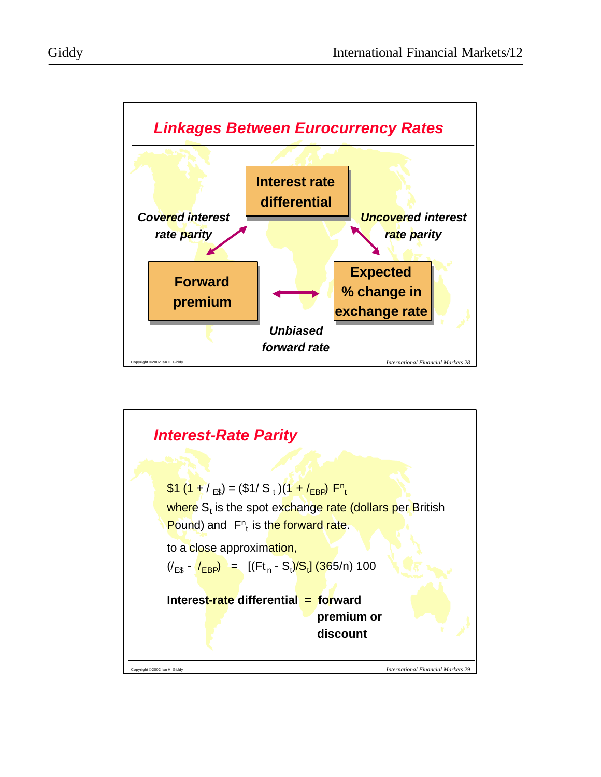

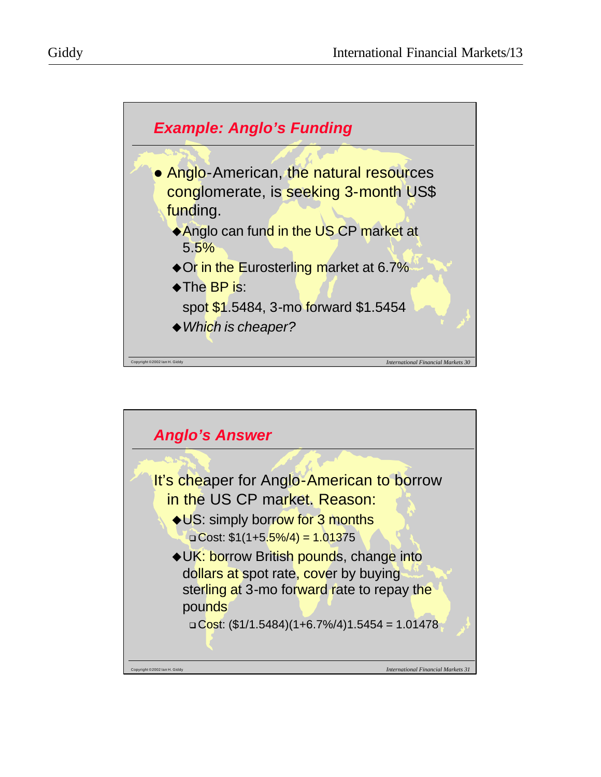

Copyright ©2002 Ian H. Giddy *International Financial Markets 30*

◆ Which is cheaper?

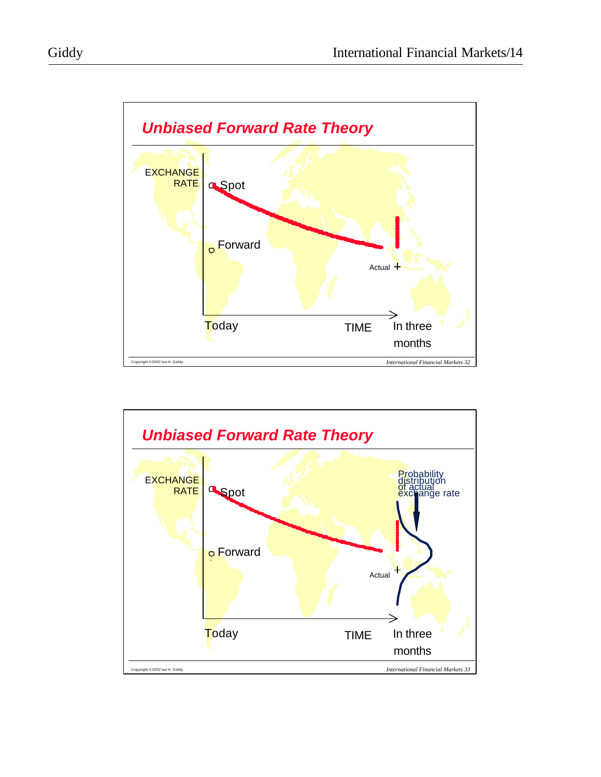

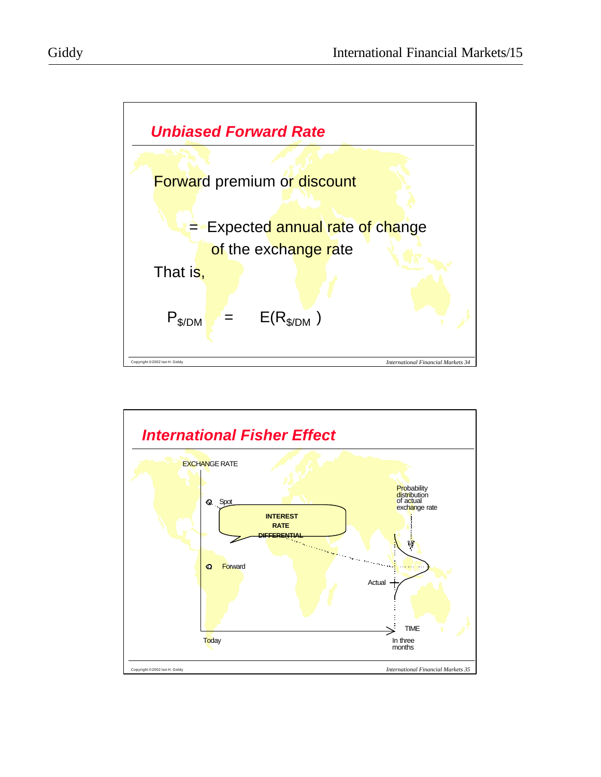

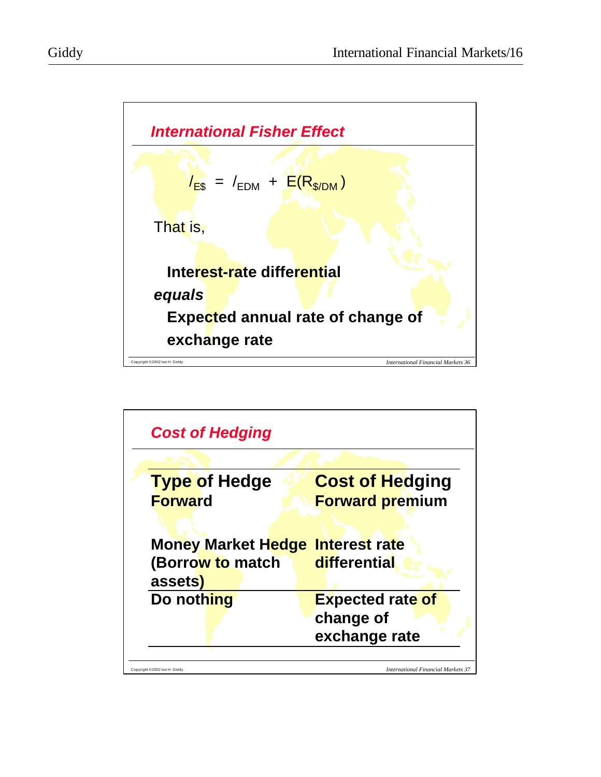

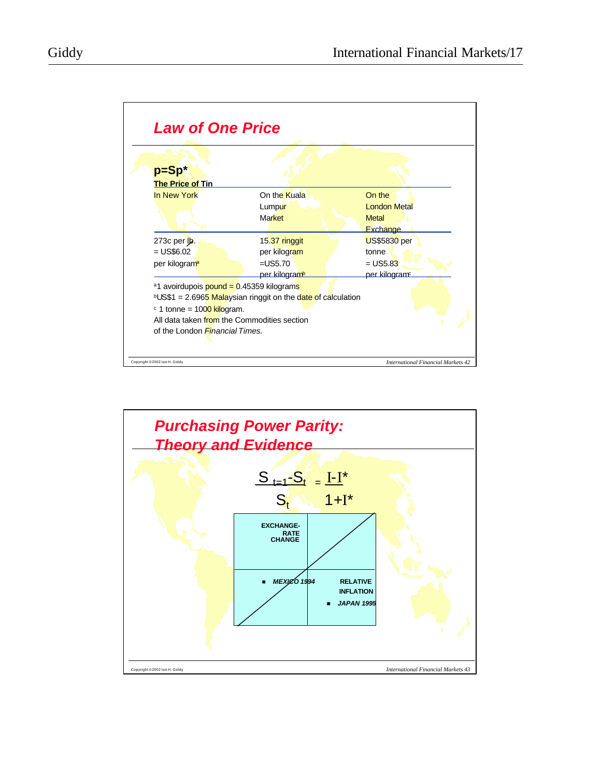

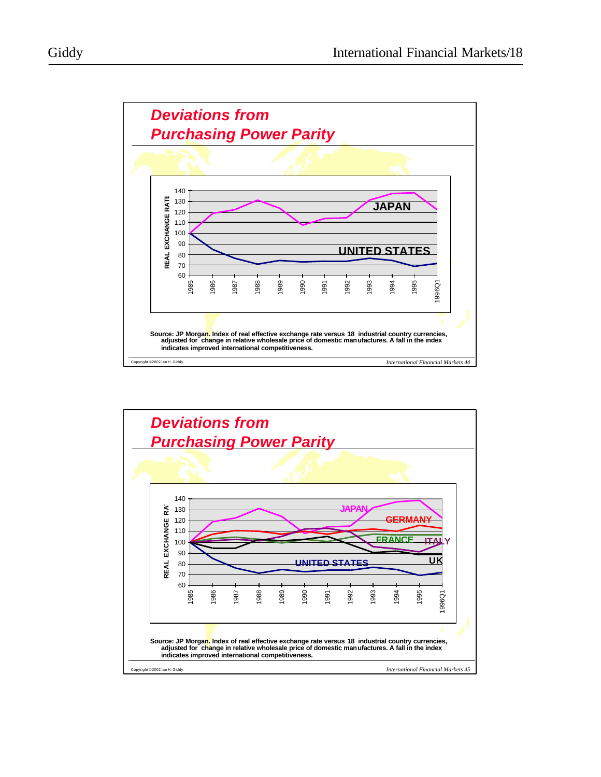

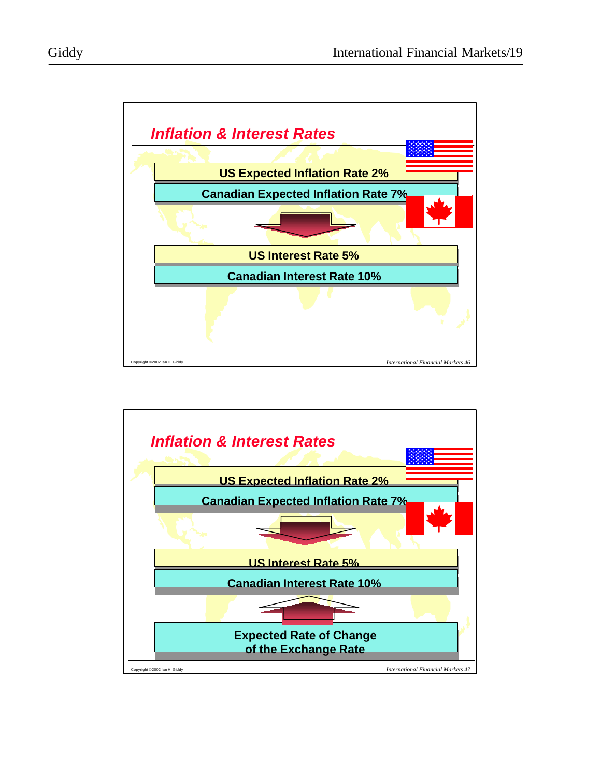

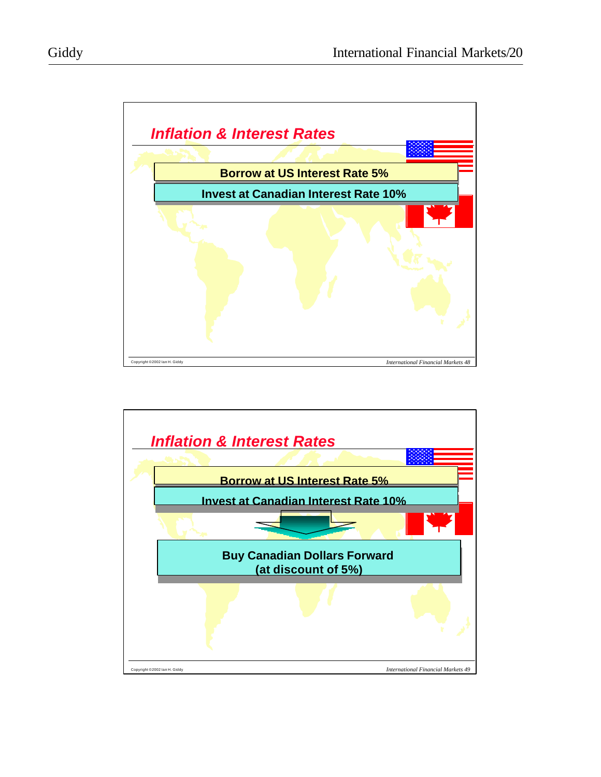

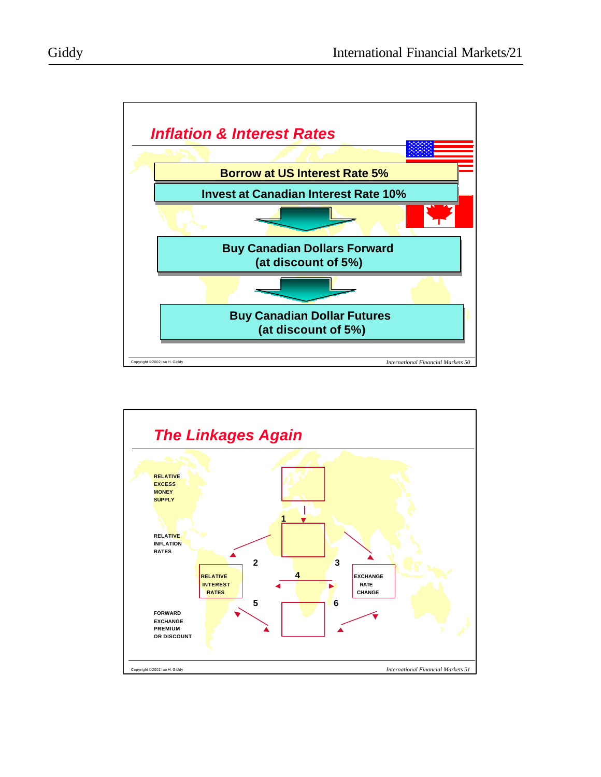

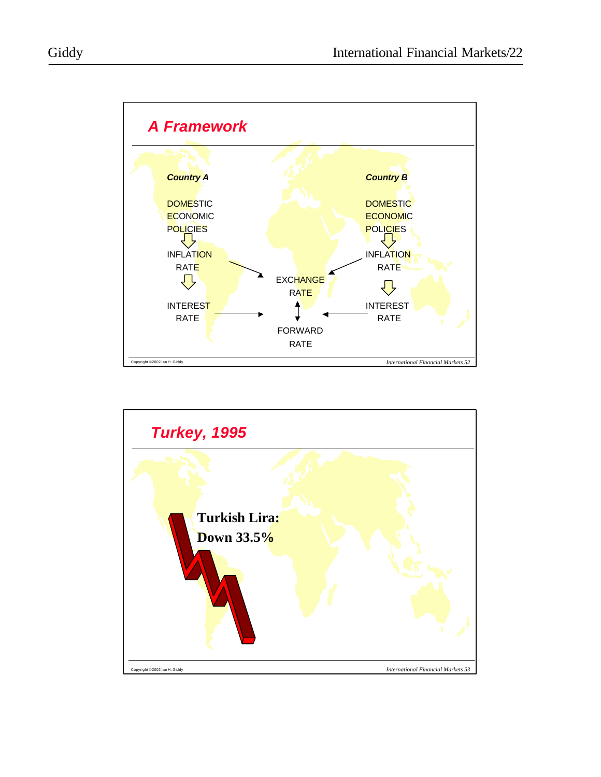